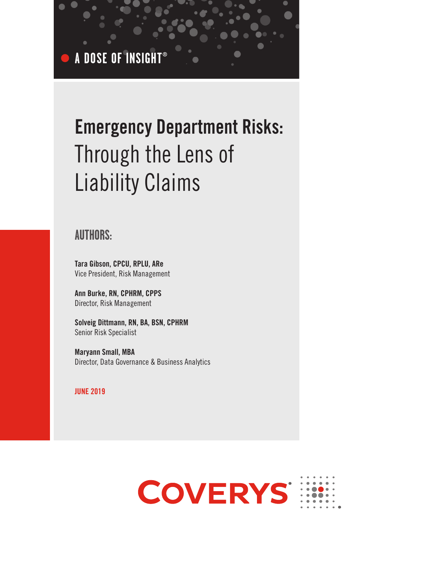**A DOSE OF INSIGHT®**

# Emergency Department Risks: Through the Lens of Liability Claims

## **AUTHORS:**

Tara Gibson, CPCU, RPLU, ARe Vice President, Risk Management

Ann Burke, RN, CPHRM, CPPS Director, Risk Management

Solveig Dittmann, RN, BA, BSN, CPHRM Senior Risk Specialist

Maryann Small, MBA Director, Data Governance & Business Analytics

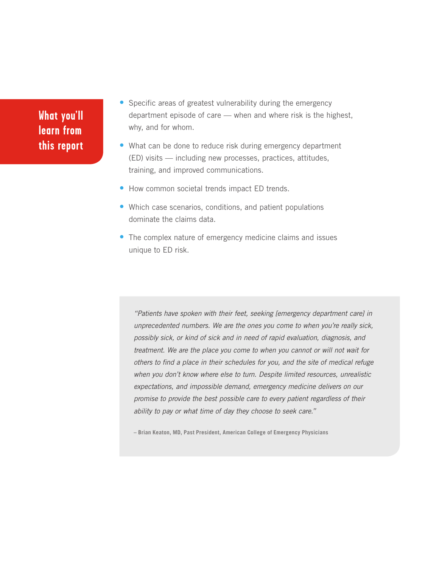- Specific areas of greatest vulnerability during the emergency department episode of care — when and where risk is the highest, why, and for whom.
- What can be done to reduce risk during emergency department (ED) visits — including new processes, practices, attitudes, training, and improved communications.
- How common societal trends impact ED trends.
- Which case scenarios, conditions, and patient populations dominate the claims data.
- The complex nature of emergency medicine claims and issues unique to ED risk.

"Patients have spoken with their feet, seeking [emergency department care] in unprecedented numbers. We are the ones you come to when you're really sick, possibly sick, or kind of sick and in need of rapid evaluation, diagnosis, and treatment. We are the place you come to when you cannot or will not wait for others to find a place in their schedules for you, and the site of medical refuge when you don't know where else to turn. Despite limited resources, unrealistic expectations, and impossible demand, emergency medicine delivers on our promise to provide the best possible care to every patient regardless of their ability to pay or what time of day they choose to seek care."

**– Brian Keaton, MD, Past President, American College of Emergency Physicians**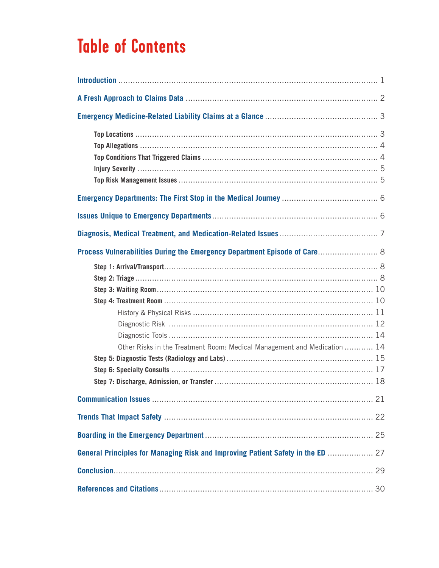| Process Vulnerabilities During the Emergency Department Episode of Care 8       |  |
|---------------------------------------------------------------------------------|--|
| Other Risks in the Treatment Room: Medical Management and Medication  14        |  |
|                                                                                 |  |
|                                                                                 |  |
|                                                                                 |  |
| General Principles for Managing Risk and Improving Patient Safety in the ED  27 |  |
|                                                                                 |  |
|                                                                                 |  |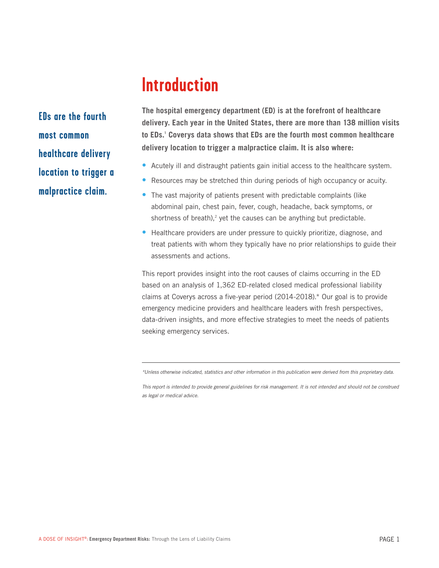**EDs are the fourth most common healthcare delivery location to trigger a malpractice claim.**

**The hospital emergency department (ED) is at the forefront of healthcare delivery. Each year in the United States, there are more than 138 million visits to EDs.<sup>1</sup> Coverys data shows that EDs are the fourth most common healthcare delivery location to trigger a malpractice claim. It is also where:**

- Acutely ill and distraught patients gain initial access to the healthcare system.
- Resources may be stretched thin during periods of high occupancy or acuity.
- The vast majority of patients present with predictable complaints (like abdominal pain, chest pain, fever, cough, headache, back symptoms, or shortness of breath), $2$  yet the causes can be anything but predictable.
- Healthcare providers are under pressure to quickly prioritize, diagnose, and treat patients with whom they typically have no prior relationships to guide their assessments and actions.

This report provides insight into the root causes of claims occurring in the ED based on an analysis of 1,362 ED-related closed medical professional liability claims at Coverys across a five-year period (2014-2018).\* Our goal is to provide emergency medicine providers and healthcare leaders with fresh perspectives, data-driven insights, and more effective strategies to meet the needs of patients seeking emergency services.

\*Unless otherwise indicated, statistics and other information in this publication were derived from this proprietary data.

This report is intended to provide general guidelines for risk management. It is not intended and should not be construed as legal or medical advice.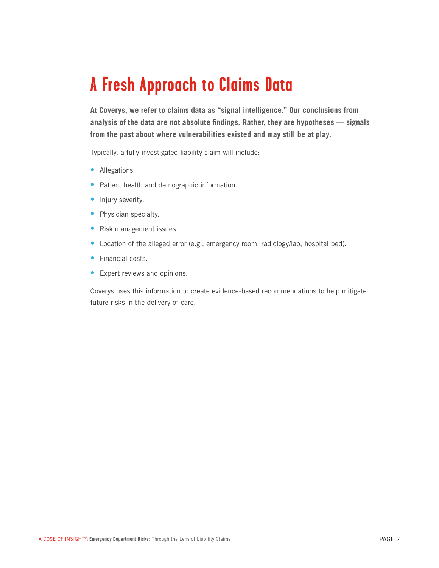**At Coverys, we refer to claims data as "signal intelligence." Our conclusions from analysis of the data are not absolute findings. Rather, they are hypotheses — signals from the past about where vulnerabilities existed and may still be at play.** 

Typically, a fully investigated liability claim will include:

- Allegations.
- Patient health and demographic information.
- Injury severity.
- Physician specialty.
- Risk management issues.
- Location of the alleged error (e.g., emergency room, radiology/lab, hospital bed).
- Financial costs
- Expert reviews and opinions.

Coverys uses this information to create evidence-based recommendations to help mitigate future risks in the delivery of care.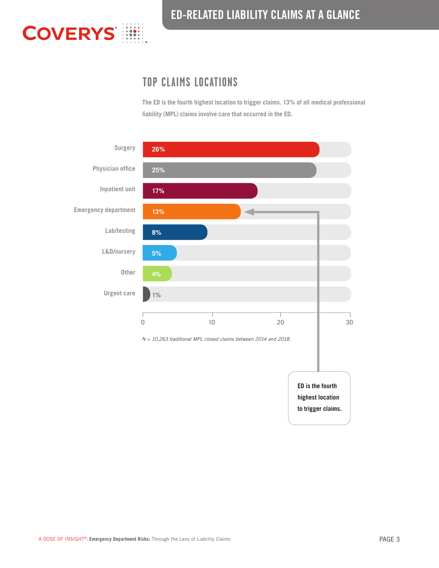

## ED-RELATED LIABILITY CLAIMS AT A GLANCE

## **TOP CLAIMS LOCATIONS**

**The ED is the fourth highest location to trigger claims. 13% of all medical professional liability (MPL) claims involve care that occurred in the ED.**

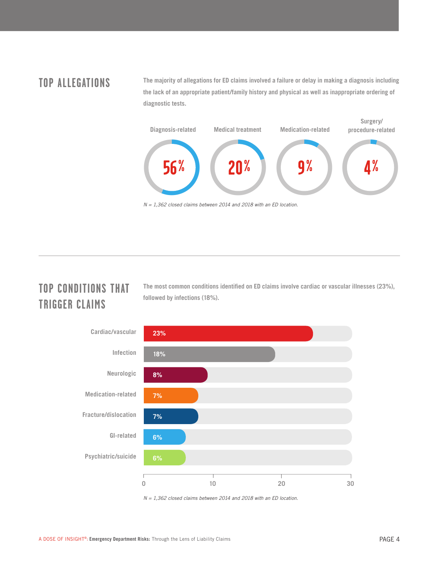## **TOP ALLEGATIONS**

**The majority of allegations for ED claims involved a failure or delay in making a diagnosis including the lack of an appropriate patient/family history and physical as well as inappropriate ordering of diagnostic tests.**



**TOP CONDITIONS THAT TRIGGER CLAIMS**

**The most common conditions identified on ED claims involve cardiac or vascular illnesses (23%), followed by infections (18%).**



 $N = 1,362$  closed claims between 2014 and 2018 with an ED location.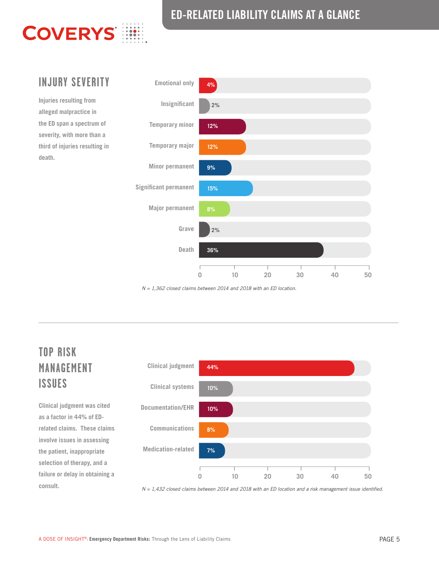## ED-RELATED LIABILITY CLAIMS AT A GLANCE



z.

**Injuries resulting from alleged malpractice in the ED span a spectrum of severity, with more than a third of injuries resulting in death.**



 $N = 1,362$  closed claims between 2014 and 2018 with an ED location.

## **TOP RISK MANAGEMENT ISSUES**

**Clinical judgment was cited as a factor in 44% of EDrelated claims. These claims involve issues in assessing the patient, inappropriate selection of therapy, and a failure or delay in obtaining a consult.**



N = 1,432 closed claims between 2014 and 2018 with an ED location and a risk management issue identified.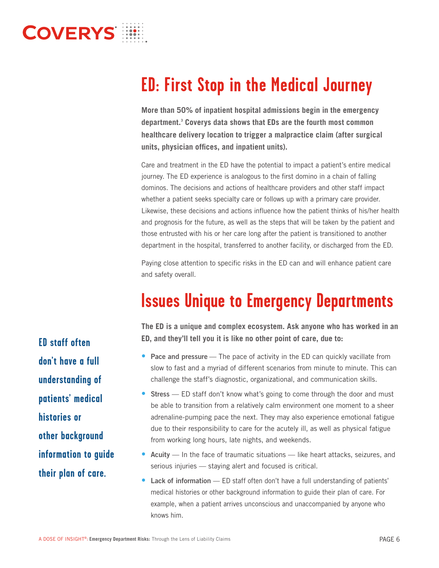**More than 50% of inpatient hospital admissions begin in the emergency department.<sup>3</sup> Coverys data shows that EDs are the fourth most common healthcare delivery location to trigger a malpractice claim (after surgical units, physician offices, and inpatient units).** 

Care and treatment in the ED have the potential to impact a patient's entire medical journey. The ED experience is analogous to the first domino in a chain of falling dominos. The decisions and actions of healthcare providers and other staff impact whether a patient seeks specialty care or follows up with a primary care provider. Likewise, these decisions and actions influence how the patient thinks of his/her health and prognosis for the future, as well as the steps that will be taken by the patient and those entrusted with his or her care long after the patient is transitioned to another department in the hospital, transferred to another facility, or discharged from the ED.

Paying close attention to specific risks in the ED can and will enhance patient care and safety overall.

**The ED is a unique and complex ecosystem. Ask anyone who has worked in an ED, and they'll tell you it is like no other point of care, due to:**

- Pace and pressure The pace of activity in the ED can quickly vacillate from slow to fast and a myriad of different scenarios from minute to minute. This can challenge the staff's diagnostic, organizational, and communication skills.
- Stress ED staff don't know what's going to come through the door and must be able to transition from a relatively calm environment one moment to a sheer adrenaline-pumping pace the next. They may also experience emotional fatigue due to their responsibility to care for the acutely ill, as well as physical fatigue from working long hours, late nights, and weekends.
- Acuity In the face of traumatic situations like heart attacks, seizures, and serious injuries — staying alert and focused is critical.
- Lack of information ED staff often don't have a full understanding of patients' medical histories or other background information to guide their plan of care. For example, when a patient arrives unconscious and unaccompanied by anyone who knows him.

**ED staff often don't have a full understanding of patients' medical histories or other background information to guide their plan of care.**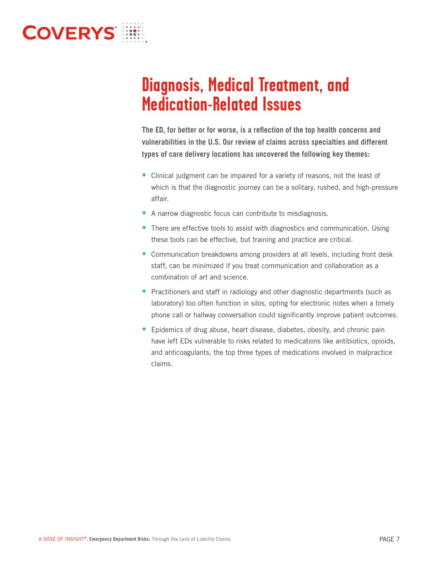

**The ED, for better or for worse, is a reflection of the top health concerns and vulnerabilities in the U.S. Our review of claims across specialties and different types of care delivery locations has uncovered the following key themes:**

- Clinical judgment can be impaired for a variety of reasons, not the least of which is that the diagnostic journey can be a solitary, rushed, and high-pressure affair.
- A narrow diagnostic focus can contribute to misdiagnosis.
- There are effective tools to assist with diagnostics and communication. Using these tools can be effective, but training and practice are critical.
- Communication breakdowns among providers at all levels, including front desk staff, can be minimized if you treat communication and collaboration as a combination of art and science.
- Practitioners and staff in radiology and other diagnostic departments (such as laboratory) too often function in silos, opting for electronic notes when a timely phone call or hallway conversation could significantly improve patient outcomes.
- Epidemics of drug abuse, heart disease, diabetes, obesity, and chronic pain have left EDs vulnerable to risks related to medications like antibiotics, opioids, and anticoagulants, the top three types of medications involved in malpractice claims.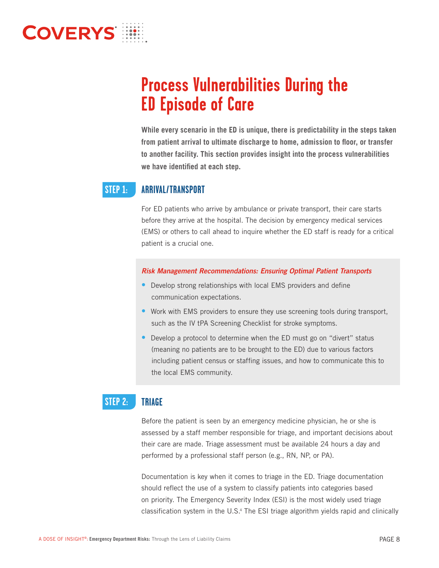**While every scenario in the ED is unique, there is predictability in the steps taken from patient arrival to ultimate discharge to home, admission to floor, or transfer to another facility. This section provides insight into the process vulnerabilities we have identified at each step.**

### **ARRIVAL/TRANSPORT STEP 1:**

For ED patients who arrive by ambulance or private transport, their care starts before they arrive at the hospital. The decision by emergency medical services (EMS) or others to call ahead to inquire whether the ED staff is ready for a critical patient is a crucial one.

- Develop strong relationships with local EMS providers and define communication expectations.
- Work with EMS providers to ensure they use screening tools during transport, such as the IV tPA Screening Checklist for stroke symptoms.
- Develop a protocol to determine when the ED must go on "divert" status (meaning no patients are to be brought to the ED) due to various factors including patient census or staffing issues, and how to communicate this to the local EMS community.

### **TRIAGE STEP 2:**

Before the patient is seen by an emergency medicine physician, he or she is assessed by a staff member responsible for triage, and important decisions about their care are made. Triage assessment must be available 24 hours a day and performed by a professional staff person (e.g., RN, NP, or PA).

Documentation is key when it comes to triage in the ED. Triage documentation should reflect the use of a system to classify patients into categories based on priority. The Emergency Severity Index (ESI) is the most widely used triage classification system in the U.S.<sup>4</sup> The ESI triage algorithm yields rapid and clinically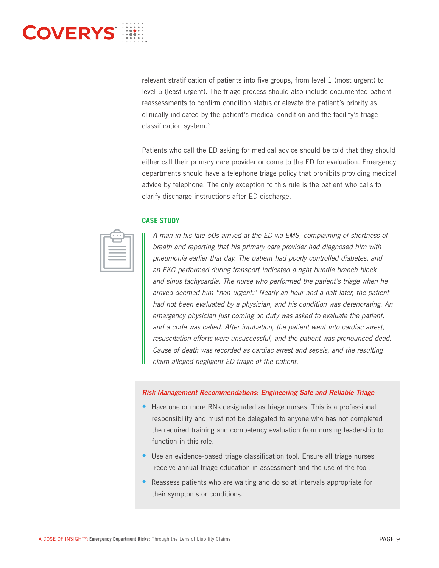relevant stratification of patients into five groups, from level 1 (most urgent) to level 5 (least urgent). The triage process should also include documented patient reassessments to confirm condition status or elevate the patient's priority as clinically indicated by the patient's medical condition and the facility's triage classification system.<sup>5</sup>

Patients who call the ED asking for medical advice should be told that they should either call their primary care provider or come to the ED for evaluation. Emergency departments should have a telephone triage policy that prohibits providing medical advice by telephone. The only exception to this rule is the patient who calls to clarify discharge instructions after ED discharge.

## **CASE STUDY**

| <b>Contract Contract Contract Contract Contract Contract Contract Contract Contract Contract Contract Contract Co</b>                                                                                                          |  |
|--------------------------------------------------------------------------------------------------------------------------------------------------------------------------------------------------------------------------------|--|
| __<br>__                                                                                                                                                                                                                       |  |
| $\mathcal{L}^{\text{max}}_{\text{max}}$ and $\mathcal{L}^{\text{max}}_{\text{max}}$ and $\mathcal{L}^{\text{max}}_{\text{max}}$                                                                                                |  |
| the contract of the contract of the contract of<br>$\mathcal{L}^{\text{max}}_{\text{max}}$ and $\mathcal{L}^{\text{max}}_{\text{max}}$ and $\mathcal{L}^{\text{max}}_{\text{max}}$ and $\mathcal{L}^{\text{max}}_{\text{max}}$ |  |
| $\mathcal{L}^{\text{max}}_{\text{max}}$ and $\mathcal{L}^{\text{max}}_{\text{max}}$ and $\mathcal{L}^{\text{max}}_{\text{max}}$ and $\mathcal{L}^{\text{max}}_{\text{max}}$                                                    |  |
|                                                                                                                                                                                                                                |  |

A man in his late 50s arrived at the ED via EMS, complaining of shortness of breath and reporting that his primary care provider had diagnosed him with pneumonia earlier that day. The patient had poorly controlled diabetes, and an EKG performed during transport indicated a right bundle branch block and sinus tachycardia. The nurse who performed the patient's triage when he arrived deemed him "non-urgent." Nearly an hour and a half later, the patient had not been evaluated by a physician, and his condition was deteriorating. An emergency physician just coming on duty was asked to evaluate the patient, and a code was called. After intubation, the patient went into cardiac arrest, resuscitation efforts were unsuccessful, and the patient was pronounced dead. Cause of death was recorded as cardiac arrest and sepsis, and the resulting claim alleged negligent ED triage of the patient.

- Have one or more RNs designated as triage nurses. This is a professional responsibility and must not be delegated to anyone who has not completed the required training and competency evaluation from nursing leadership to function in this role.
- Use an evidence-based triage classification tool. Ensure all triage nurses receive annual triage education in assessment and the use of the tool.
- Reassess patients who are waiting and do so at intervals appropriate for their symptoms or conditions.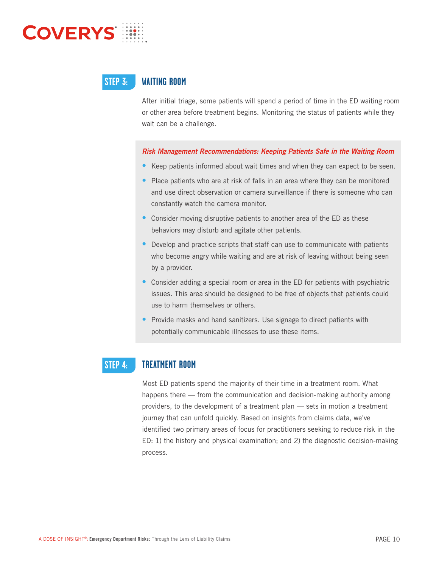

### **WAITING ROOM STEP 3:**

After initial triage, some patients will spend a period of time in the ED waiting room or other area before treatment begins. Monitoring the status of patients while they wait can be a challenge.

- Keep patients informed about wait times and when they can expect to be seen.
- Place patients who are at risk of falls in an area where they can be monitored and use direct observation or camera surveillance if there is someone who can constantly watch the camera monitor.
- Consider moving disruptive patients to another area of the ED as these behaviors may disturb and agitate other patients.
- Develop and practice scripts that staff can use to communicate with patients who become angry while waiting and are at risk of leaving without being seen by a provider.
- Consider adding a special room or area in the ED for patients with psychiatric issues. This area should be designed to be free of objects that patients could use to harm themselves or others.
- Provide masks and hand sanitizers. Use signage to direct patients with potentially communicable illnesses to use these items.

### **TREATMENT ROOM STEP 4:**

Most ED patients spend the majority of their time in a treatment room. What happens there — from the communication and decision-making authority among providers, to the development of a treatment plan — sets in motion a treatment journey that can unfold quickly. Based on insights from claims data, we've identified two primary areas of focus for practitioners seeking to reduce risk in the ED: 1) the history and physical examination; and 2) the diagnostic decision-making process.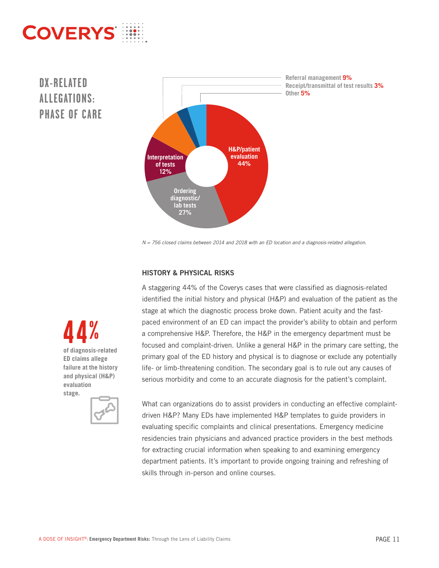# **DX-RELATED ALLEGATIONS:**



N = 756 closed claims between 2014 and 2018 with an ED location and a diagnosis-related allegation.

## HISTORY & PHYSICAL RISKS

A staggering 44% of the Coverys cases that were classified as diagnosis-related identified the initial history and physical (H&P) and evaluation of the patient as the stage at which the diagnostic process broke down. Patient acuity and the fastpaced environment of an ED can impact the provider's ability to obtain and perform a comprehensive H&P. Therefore, the H&P in the emergency department must be focused and complaint-driven. Unlike a general H&P in the primary care setting, the primary goal of the ED history and physical is to diagnose or exclude any potentially life- or limb-threatening condition. The secondary goal is to rule out any causes of serious morbidity and come to an accurate diagnosis for the patient's complaint.

**of diagnosis-related 44% ED claims allege failure at the history and physical (H&P) evaluation stage.**



What can organizations do to assist providers in conducting an effective complaintdriven H&P? Many EDs have implemented H&P templates to guide providers in evaluating specific complaints and clinical presentations. Emergency medicine residencies train physicians and advanced practice providers in the best methods for extracting crucial information when speaking to and examining emergency department patients. It's important to provide ongoing training and refreshing of skills through in-person and online courses.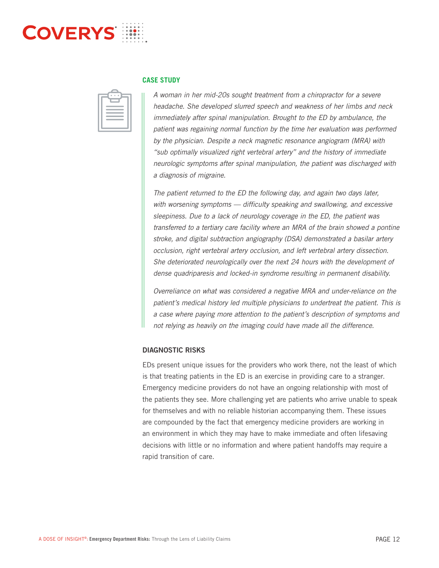

### **CASE STUDY**

| $\sim$<br>--                                                                                                                                                                |  |
|-----------------------------------------------------------------------------------------------------------------------------------------------------------------------------|--|
| ______                                                                                                                                                                      |  |
|                                                                                                                                                                             |  |
| $\mathcal{L}^{\text{max}}_{\text{max}}$ and $\mathcal{L}^{\text{max}}_{\text{max}}$ and $\mathcal{L}^{\text{max}}_{\text{max}}$ and $\mathcal{L}^{\text{max}}_{\text{max}}$ |  |
|                                                                                                                                                                             |  |
|                                                                                                                                                                             |  |
|                                                                                                                                                                             |  |
|                                                                                                                                                                             |  |

A woman in her mid-20s sought treatment from a chiropractor for a severe headache. She developed slurred speech and weakness of her limbs and neck immediately after spinal manipulation. Brought to the ED by ambulance, the patient was regaining normal function by the time her evaluation was performed by the physician. Despite a neck magnetic resonance angiogram (MRA) with "sub optimally visualized right vertebral artery" and the history of immediate neurologic symptoms after spinal manipulation, the patient was discharged with a diagnosis of migraine.

The patient returned to the ED the following day, and again two days later, with worsening symptoms - difficulty speaking and swallowing, and excessive sleepiness. Due to a lack of neurology coverage in the ED, the patient was transferred to a tertiary care facility where an MRA of the brain showed a pontine stroke, and digital subtraction angiography (DSA) demonstrated a basilar artery occlusion, right vertebral artery occlusion, and left vertebral artery dissection. She deteriorated neurologically over the next 24 hours with the development of dense quadriparesis and locked-in syndrome resulting in permanent disability.

Overreliance on what was considered a negative MRA and under-reliance on the patient's medical history led multiple physicians to undertreat the patient. This is a case where paying more attention to the patient's description of symptoms and not relying as heavily on the imaging could have made all the difference.

## DIAGNOSTIC RISKS

EDs present unique issues for the providers who work there, not the least of which is that treating patients in the ED is an exercise in providing care to a stranger. Emergency medicine providers do not have an ongoing relationship with most of the patients they see. More challenging yet are patients who arrive unable to speak for themselves and with no reliable historian accompanying them. These issues are compounded by the fact that emergency medicine providers are working in an environment in which they may have to make immediate and often lifesaving decisions with little or no information and where patient handoffs may require a rapid transition of care.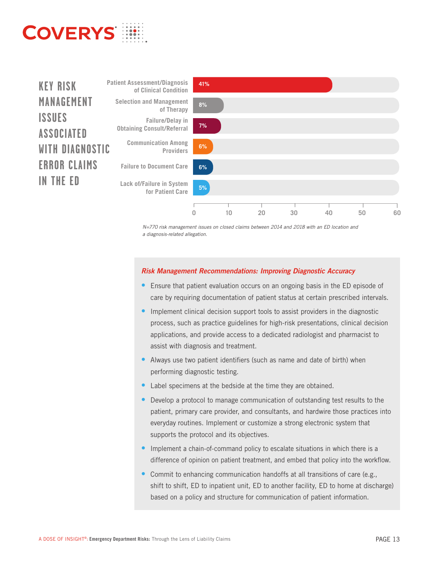



N=770 risk management issues on closed claims between 2014 and 2018 with an ED location and a diagnosis-related allegation.

- Ensure that patient evaluation occurs on an ongoing basis in the ED episode of care by requiring documentation of patient status at certain prescribed intervals.
- Implement clinical decision support tools to assist providers in the diagnostic process, such as practice guidelines for high-risk presentations, clinical decision applications, and provide access to a dedicated radiologist and pharmacist to assist with diagnosis and treatment.
- Always use two patient identifiers (such as name and date of birth) when performing diagnostic testing.
- Label specimens at the bedside at the time they are obtained.
- Develop a protocol to manage communication of outstanding test results to the patient, primary care provider, and consultants, and hardwire those practices into everyday routines. Implement or customize a strong electronic system that supports the protocol and its objectives.
- Implement a chain-of-command policy to escalate situations in which there is a difference of opinion on patient treatment, and embed that policy into the workflow.
- Commit to enhancing communication handoffs at all transitions of care (e.g., shift to shift, ED to inpatient unit, ED to another facility, ED to home at discharge) based on a policy and structure for communication of patient information.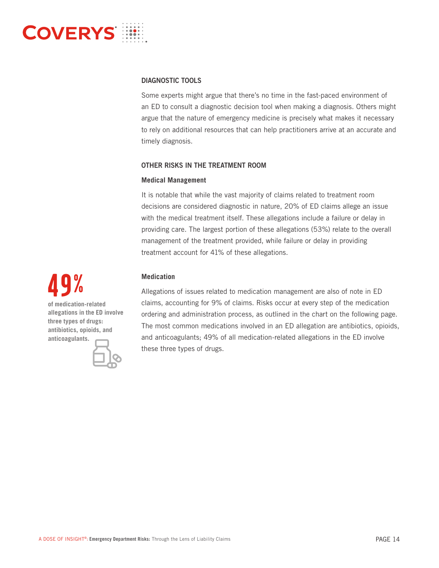

## DIAGNOSTIC TOOLS

Some experts might argue that there's no time in the fast-paced environment of an ED to consult a diagnostic decision tool when making a diagnosis. Others might argue that the nature of emergency medicine is precisely what makes it necessary to rely on additional resources that can help practitioners arrive at an accurate and timely diagnosis.

## OTHER RISKS IN THE TREATMENT ROOM

## **Medical Management**

It is notable that while the vast majority of claims related to treatment room decisions are considered diagnostic in nature, 20% of ED claims allege an issue with the medical treatment itself. These allegations include a failure or delay in providing care. The largest portion of these allegations (53%) relate to the overall management of the treatment provided, while failure or delay in providing treatment account for 41% of these allegations.

## **Medication**

Allegations of issues related to medication management are also of note in ED claims, accounting for 9% of claims. Risks occur at every step of the medication ordering and administration process, as outlined in the chart on the following page. The most common medications involved in an ED allegation are antibiotics, opioids, and anticoagulants; 49% of all medication-related allegations in the ED involve these three types of drugs.

**of medication-related allegations in the ED involve three types of drugs: antibiotics, opioids, and anticoagulants. 49%**

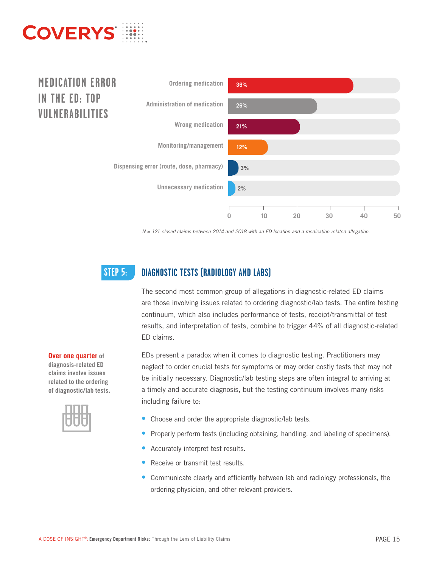

## **MEDICATION ERROR IN THE ED: TOP VULNERABILITIES**



 $N = 121$  closed claims between 2014 and 2018 with an ED location and a medication-related allegation.

### **DIAGNOSTIC TESTS (RADIOLOGY AND LABS) STEP 5:**

The second most common group of allegations in diagnostic-related ED claims are those involving issues related to ordering diagnostic/lab tests. The entire testing continuum, which also includes performance of tests, receipt/transmittal of test results, and interpretation of tests, combine to trigger 44% of all diagnostic-related ED claims.

EDs present a paradox when it comes to diagnostic testing. Practitioners may neglect to order crucial tests for symptoms or may order costly tests that may not be initially necessary. Diagnostic/lab testing steps are often integral to arriving at a timely and accurate diagnosis, but the testing continuum involves many risks including failure to:

- Choose and order the appropriate diagnostic/lab tests.
- Properly perform tests (including obtaining, handling, and labeling of specimens).
- Accurately interpret test results.
- Receive or transmit test results.
- Communicate clearly and efficiently between lab and radiology professionals, the ordering physician, and other relevant providers.

**Over one quarter of diagnosis-related ED claims involve issues related to the ordering of diagnostic/lab tests.**

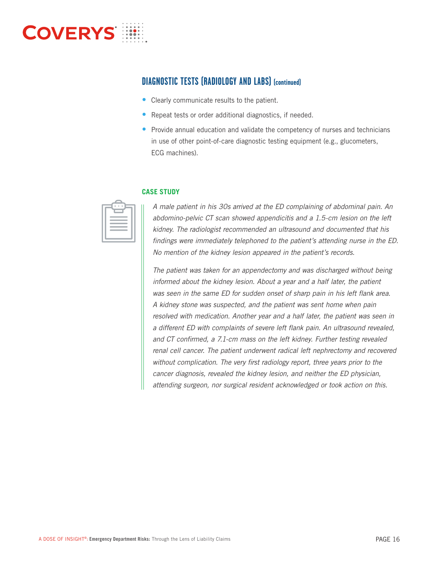

## **DIAGNOSTIC TESTS (RADIOLOGY AND LABS) (continued)**

- Clearly communicate results to the patient.
- Repeat tests or order additional diagnostics, if needed.
- Provide annual education and validate the competency of nurses and technicians in use of other point-of-care diagnostic testing equipment (e.g., glucometers, ECG machines).

## **CASE STUDY**

| and the state of the state of the state of the state of the state of the state of the state of the state of th                                                              |  |
|-----------------------------------------------------------------------------------------------------------------------------------------------------------------------------|--|
| ________                                                                                                                                                                    |  |
| $\mathcal{L}^{\text{max}}_{\text{max}}$ and $\mathcal{L}^{\text{max}}_{\text{max}}$ and $\mathcal{L}^{\text{max}}_{\text{max}}$ and $\mathcal{L}^{\text{max}}_{\text{max}}$ |  |
|                                                                                                                                                                             |  |
|                                                                                                                                                                             |  |
|                                                                                                                                                                             |  |

A male patient in his 30s arrived at the ED complaining of abdominal pain. An abdomino-pelvic CT scan showed appendicitis and a 1.5-cm lesion on the left kidney. The radiologist recommended an ultrasound and documented that his findings were immediately telephoned to the patient's attending nurse in the ED. No mention of the kidney lesion appeared in the patient's records.

The patient was taken for an appendectomy and was discharged without being informed about the kidney lesion. About a year and a half later, the patient was seen in the same ED for sudden onset of sharp pain in his left flank area. A kidney stone was suspected, and the patient was sent home when pain resolved with medication. Another year and a half later, the patient was seen in a different ED with complaints of severe left flank pain. An ultrasound revealed, and CT confirmed, a 7.1-cm mass on the left kidney. Further testing revealed renal cell cancer. The patient underwent radical left nephrectomy and recovered without complication. The very first radiology report, three years prior to the cancer diagnosis, revealed the kidney lesion, and neither the ED physician, attending surgeon, nor surgical resident acknowledged or took action on this.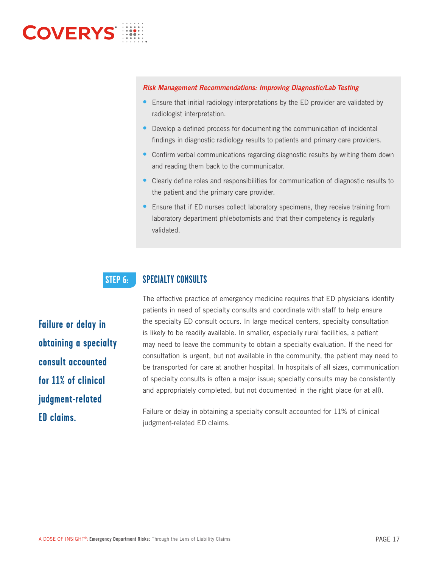- Ensure that initial radiology interpretations by the ED provider are validated by radiologist interpretation.
- Develop a defined process for documenting the communication of incidental findings in diagnostic radiology results to patients and primary care providers.
- Confirm verbal communications regarding diagnostic results by writing them down and reading them back to the communicator.
- Clearly define roles and responsibilities for communication of diagnostic results to the patient and the primary care provider.
- Ensure that if ED nurses collect laboratory specimens, they receive training from laboratory department phlebotomists and that their competency is regularly validated.

### **SPECIALTY CONSULTS STEP 6:**

**Failure or delay in obtaining a specialty consult accounted for 11% of clinical judgment-related ED claims.**

The effective practice of emergency medicine requires that ED physicians identify patients in need of specialty consults and coordinate with staff to help ensure the specialty ED consult occurs. In large medical centers, specialty consultation is likely to be readily available. In smaller, especially rural facilities, a patient may need to leave the community to obtain a specialty evaluation. If the need for consultation is urgent, but not available in the community, the patient may need to be transported for care at another hospital. In hospitals of all sizes, communication of specialty consults is often a major issue; specialty consults may be consistently and appropriately completed, but not documented in the right place (or at all).

Failure or delay in obtaining a specialty consult accounted for 11% of clinical judgment-related ED claims.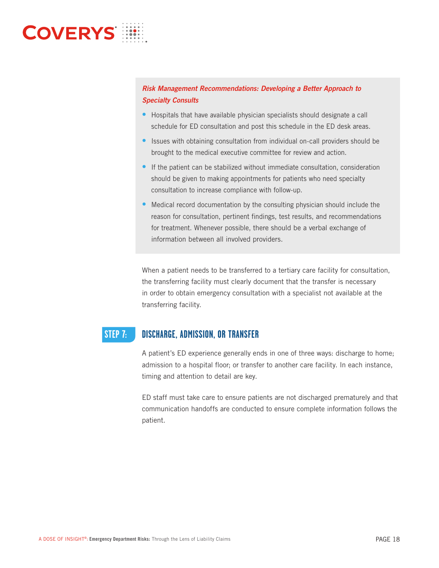|   |  | .        |  |    |
|---|--|----------|--|----|
| ഒ |  | .        |  |    |
|   |  | $\cdots$ |  |    |
|   |  | $\cdots$ |  |    |
|   |  | .        |  |    |
|   |  | .        |  | œ, |
|   |  |          |  |    |

- Hospitals that have available physician specialists should designate a call schedule for ED consultation and post this schedule in the ED desk areas.
- Issues with obtaining consultation from individual on-call providers should be brought to the medical executive committee for review and action.
- If the patient can be stabilized without immediate consultation, consideration should be given to making appointments for patients who need specialty consultation to increase compliance with follow-up.
- Medical record documentation by the consulting physician should include the reason for consultation, pertinent findings, test results, and recommendations for treatment. Whenever possible, there should be a verbal exchange of information between all involved providers.

When a patient needs to be transferred to a tertiary care facility for consultation, the transferring facility must clearly document that the transfer is necessary in order to obtain emergency consultation with a specialist not available at the transferring facility.

### **DISCHARGE, ADMISSION, OR TRANSFER STEP 7:**

A patient's ED experience generally ends in one of three ways: discharge to home; admission to a hospital floor; or transfer to another care facility. In each instance, timing and attention to detail are key.

ED staff must take care to ensure patients are not discharged prematurely and that communication handoffs are conducted to ensure complete information follows the patient.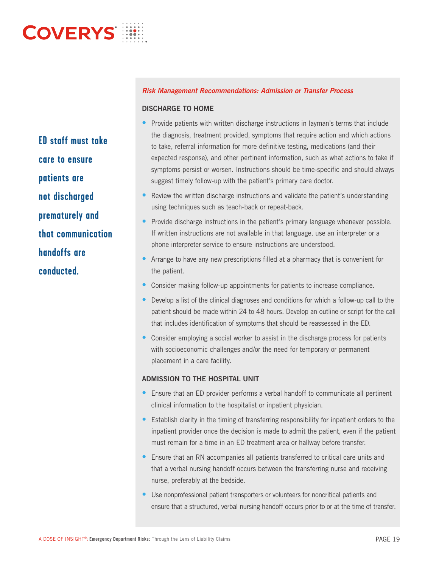**ED staff must take care to ensure patients are not discharged prematurely and that communication handoffs are conducted.**

## DISCHARGE TO HOME

- Provide patients with written discharge instructions in layman's terms that include the diagnosis, treatment provided, symptoms that require action and which actions to take, referral information for more definitive testing, medications (and their expected response), and other pertinent information, such as what actions to take if symptoms persist or worsen. Instructions should be time-specific and should always suggest timely follow-up with the patient's primary care doctor.
- Review the written discharge instructions and validate the patient's understanding using techniques such as teach-back or repeat-back.
- Provide discharge instructions in the patient's primary language whenever possible. If written instructions are not available in that language, use an interpreter or a phone interpreter service to ensure instructions are understood.
- Arrange to have any new prescriptions filled at a pharmacy that is convenient for the patient.
- Consider making follow-up appointments for patients to increase compliance.
- Develop a list of the clinical diagnoses and conditions for which a follow-up call to the patient should be made within 24 to 48 hours. Develop an outline or script for the call that includes identification of symptoms that should be reassessed in the ED.
- Consider employing a social worker to assist in the discharge process for patients with socioeconomic challenges and/or the need for temporary or permanent placement in a care facility.

## ADMISSION TO THE HOSPITAL UNIT

- Ensure that an ED provider performs a verbal handoff to communicate all pertinent clinical information to the hospitalist or inpatient physician.
- Establish clarity in the timing of transferring responsibility for inpatient orders to the inpatient provider once the decision is made to admit the patient, even if the patient must remain for a time in an ED treatment area or hallway before transfer.
- Ensure that an RN accompanies all patients transferred to critical care units and that a verbal nursing handoff occurs between the transferring nurse and receiving nurse, preferably at the bedside.
- Use nonprofessional patient transporters or volunteers for noncritical patients and ensure that a structured, verbal nursing handoff occurs prior to or at the time of transfer.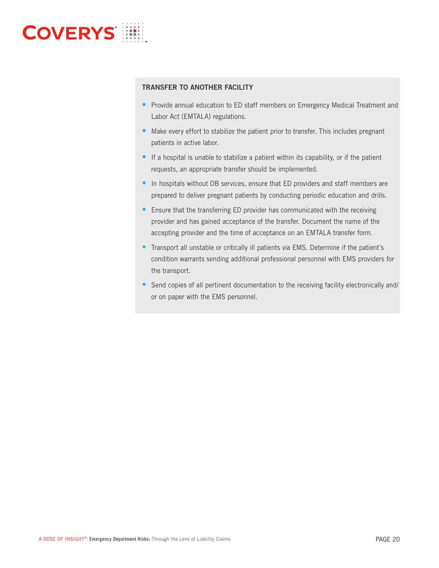

## TRANSFER TO ANOTHER FACILITY

- Provide annual education to ED staff members on Emergency Medical Treatment and Labor Act (EMTALA) regulations.
- Make every effort to stabilize the patient prior to transfer. This includes pregnant patients in active labor.
- If a hospital is unable to stabilize a patient within its capability, or if the patient requests, an appropriate transfer should be implemented.
- In hospitals without OB services, ensure that ED providers and staff members are prepared to deliver pregnant patients by conducting periodic education and drills.
- Ensure that the transferring ED provider has communicated with the receiving provider and has gained acceptance of the transfer. Document the name of the accepting provider and the time of acceptance on an EMTALA transfer form.
- Transport all unstable or critically ill patients via EMS. Determine if the patient's condition warrants sending additional professional personnel with EMS providers for the transport.
- Send copies of all pertinent documentation to the receiving facility electronically and/ or on paper with the EMS personnel.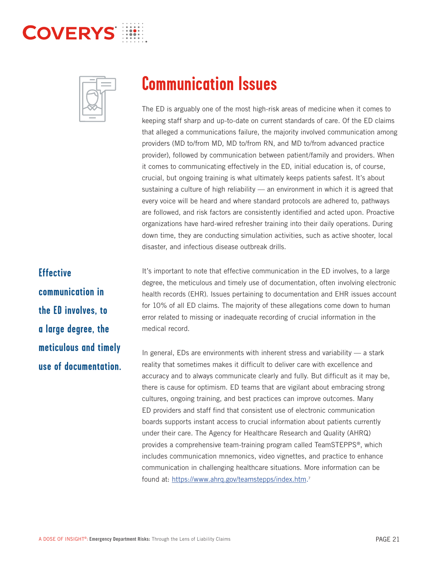



The ED is arguably one of the most high-risk areas of medicine when it comes to keeping staff sharp and up-to-date on current standards of care. Of the ED claims that alleged a communications failure, the majority involved communication among providers (MD to/from MD, MD to/from RN, and MD to/from advanced practice provider), followed by communication between patient/family and providers. When it comes to communicating effectively in the ED, initial education is, of course, crucial, but ongoing training is what ultimately keeps patients safest. It's about sustaining a culture of high reliability - an environment in which it is agreed that every voice will be heard and where standard protocols are adhered to, pathways are followed, and risk factors are consistently identified and acted upon. Proactive organizations have hard-wired refresher training into their daily operations. During down time, they are conducting simulation activities, such as active shooter, local disaster, and infectious disease outbreak drills.

## **Effective**

**communication in the ED involves, to a large degree, the meticulous and timely use of documentation.** It's important to note that effective communication in the ED involves, to a large degree, the meticulous and timely use of documentation, often involving electronic health records (EHR). Issues pertaining to documentation and EHR issues account for 10% of all ED claims. The majority of these allegations come down to human error related to missing or inadequate recording of crucial information in the medical record.

In general, EDs are environments with inherent stress and variability  $-$  a stark reality that sometimes makes it difficult to deliver care with excellence and accuracy and to always communicate clearly and fully. But difficult as it may be, there is cause for optimism. ED teams that are vigilant about embracing strong cultures, ongoing training, and best practices can improve outcomes. Many ED providers and staff find that consistent use of electronic communication boards supports instant access to crucial information about patients currently under their care. The Agency for Healthcare Research and Quality (AHRQ) provides a comprehensive team-training program called TeamSTEPPS®, which includes communication mnemonics, video vignettes, and practice to enhance communication in challenging healthcare situations. More information can be found at: https://www.ahrq.gov/teamstepps/index.htm.<sup>7</sup>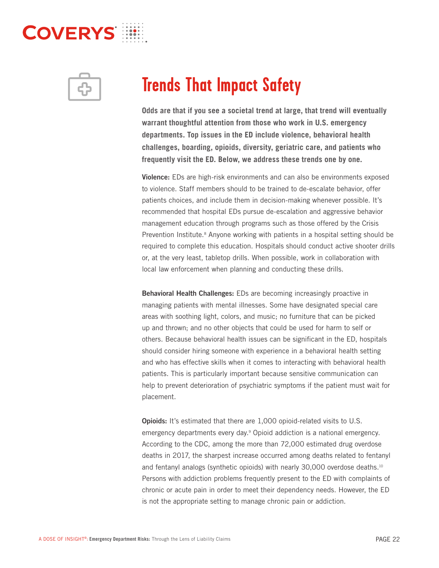

**Odds are that if you see a societal trend at large, that trend will eventually warrant thoughtful attention from those who work in U.S. emergency departments. Top issues in the ED include violence, behavioral health challenges, boarding, opioids, diversity, geriatric care, and patients who frequently visit the ED. Below, we address these trends one by one.**

Violence: EDs are high-risk environments and can also be environments exposed to violence. Staff members should to be trained to de-escalate behavior, offer patients choices, and include them in decision-making whenever possible. It's recommended that hospital EDs pursue de-escalation and aggressive behavior management education through programs such as those offered by the Crisis Prevention Institute.<sup>8</sup> Anyone working with patients in a hospital setting should be required to complete this education. Hospitals should conduct active shooter drills or, at the very least, tabletop drills. When possible, work in collaboration with local law enforcement when planning and conducting these drills.

Behavioral Health Challenges: EDs are becoming increasingly proactive in managing patients with mental illnesses. Some have designated special care areas with soothing light, colors, and music; no furniture that can be picked up and thrown; and no other objects that could be used for harm to self or others. Because behavioral health issues can be significant in the ED, hospitals should consider hiring someone with experience in a behavioral health setting and who has effective skills when it comes to interacting with behavioral health patients. This is particularly important because sensitive communication can help to prevent deterioration of psychiatric symptoms if the patient must wait for placement.

**Opioids:** It's estimated that there are 1,000 opioid-related visits to U.S. emergency departments every day.<sup>9</sup> Opioid addiction is a national emergency. According to the CDC, among the more than 72,000 estimated drug overdose deaths in 2017, the sharpest increase occurred among deaths related to fentanyl and fentanyl analogs (synthetic opioids) with nearly 30,000 overdose deaths.<sup>10</sup> Persons with addiction problems frequently present to the ED with complaints of chronic or acute pain in order to meet their dependency needs. However, the ED is not the appropriate setting to manage chronic pain or addiction.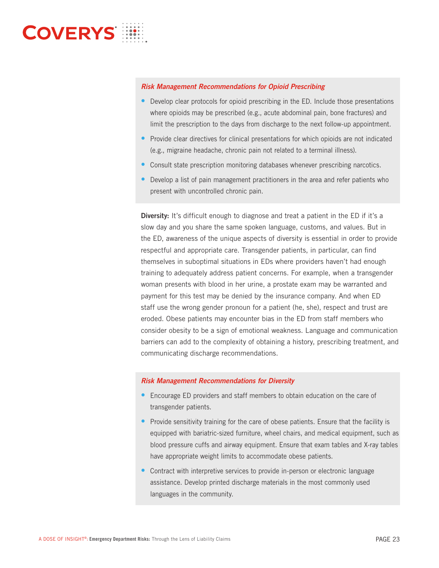- Develop clear protocols for opioid prescribing in the ED. Include those presentations where opioids may be prescribed (e.g., acute abdominal pain, bone fractures) and limit the prescription to the days from discharge to the next follow-up appointment.
- Provide clear directives for clinical presentations for which opioids are not indicated (e.g., migraine headache, chronic pain not related to a terminal illness).
- Consult state prescription monitoring databases whenever prescribing narcotics.
- Develop a list of pain management practitioners in the area and refer patients who present with uncontrolled chronic pain.

**Diversity:** It's difficult enough to diagnose and treat a patient in the ED if it's a slow day and you share the same spoken language, customs, and values. But in the ED, awareness of the unique aspects of diversity is essential in order to provide respectful and appropriate care. Transgender patients, in particular, can find themselves in suboptimal situations in EDs where providers haven't had enough training to adequately address patient concerns. For example, when a transgender woman presents with blood in her urine, a prostate exam may be warranted and payment for this test may be denied by the insurance company. And when ED staff use the wrong gender pronoun for a patient (he, she), respect and trust are eroded. Obese patients may encounter bias in the ED from staff members who consider obesity to be a sign of emotional weakness. Language and communication barriers can add to the complexity of obtaining a history, prescribing treatment, and communicating discharge recommendations.

- Encourage ED providers and staff members to obtain education on the care of transgender patients.
- Provide sensitivity training for the care of obese patients. Ensure that the facility is equipped with bariatric-sized furniture, wheel chairs, and medical equipment, such as blood pressure cuffs and airway equipment. Ensure that exam tables and X-ray tables have appropriate weight limits to accommodate obese patients.
- Contract with interpretive services to provide in-person or electronic language assistance. Develop printed discharge materials in the most commonly used languages in the community.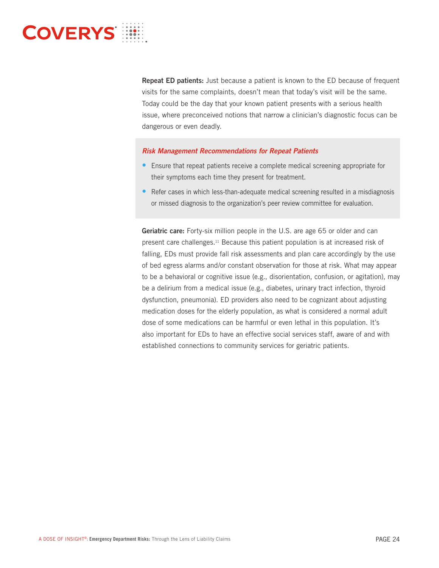

Repeat ED patients: Just because a patient is known to the ED because of frequent visits for the same complaints, doesn't mean that today's visit will be the same. Today could be the day that your known patient presents with a serious health issue, where preconceived notions that narrow a clinician's diagnostic focus can be dangerous or even deadly.

- Ensure that repeat patients receive a complete medical screening appropriate for their symptoms each time they present for treatment.
- Refer cases in which less-than-adequate medical screening resulted in a misdiagnosis or missed diagnosis to the organization's peer review committee for evaluation.

Geriatric care: Forty-six million people in the U.S. are age 65 or older and can present care challenges.11 Because this patient population is at increased risk of falling, EDs must provide fall risk assessments and plan care accordingly by the use of bed egress alarms and/or constant observation for those at risk. What may appear to be a behavioral or cognitive issue (e.g., disorientation, confusion, or agitation), may be a delirium from a medical issue (e.g., diabetes, urinary tract infection, thyroid dysfunction, pneumonia). ED providers also need to be cognizant about adjusting medication doses for the elderly population, as what is considered a normal adult dose of some medications can be harmful or even lethal in this population. It's also important for EDs to have an effective social services staff, aware of and with established connections to community services for geriatric patients.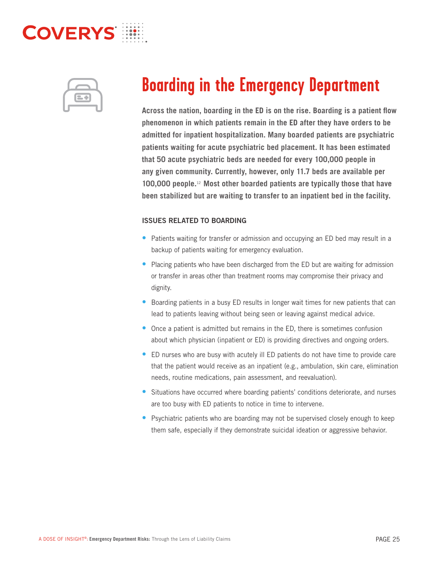

**Across the nation, boarding in the ED is on the rise. Boarding is a patient flow phenomenon in which patients remain in the ED after they have orders to be admitted for inpatient hospitalization. Many boarded patients are psychiatric patients waiting for acute psychiatric bed placement. It has been estimated that 50 acute psychiatric beds are needed for every 100,000 people in any given community. Currently, however, only 11.7 beds are available per 100,000 people.**12 **Most other boarded patients are typically those that have been stabilized but are waiting to transfer to an inpatient bed in the facility.**

## ISSUES RELATED TO BOARDING

- Patients waiting for transfer or admission and occupying an ED bed may result in a backup of patients waiting for emergency evaluation.
- Placing patients who have been discharged from the ED but are waiting for admission or transfer in areas other than treatment rooms may compromise their privacy and dignity.
- Boarding patients in a busy ED results in longer wait times for new patients that can lead to patients leaving without being seen or leaving against medical advice.
- Once a patient is admitted but remains in the ED, there is sometimes confusion about which physician (inpatient or ED) is providing directives and ongoing orders.
- ED nurses who are busy with acutely ill ED patients do not have time to provide care that the patient would receive as an inpatient (e.g., ambulation, skin care, elimination needs, routine medications, pain assessment, and reevaluation).
- Situations have occurred where boarding patients' conditions deteriorate, and nurses are too busy with ED patients to notice in time to intervene.
- Psychiatric patients who are boarding may not be supervised closely enough to keep them safe, especially if they demonstrate suicidal ideation or aggressive behavior.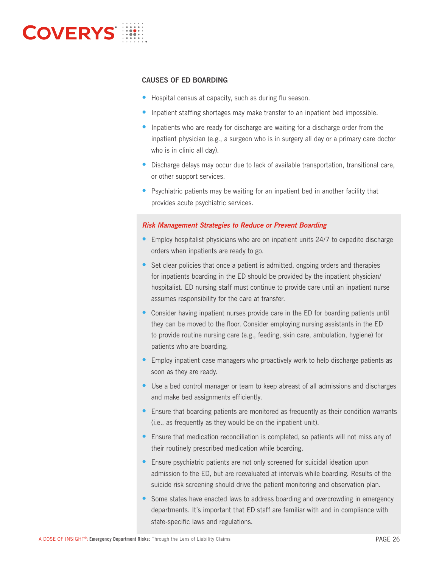

## CAUSES OF ED BOARDING

- Hospital census at capacity, such as during flu season.
- Inpatient staffing shortages may make transfer to an inpatient bed impossible.
- Inpatients who are ready for discharge are waiting for a discharge order from the inpatient physician (e.g., a surgeon who is in surgery all day or a primary care doctor who is in clinic all day).
- Discharge delays may occur due to lack of available transportation, transitional care, or other support services.
- Psychiatric patients may be waiting for an inpatient bed in another facility that provides acute psychiatric services.

- Employ hospitalist physicians who are on inpatient units 24/7 to expedite discharge orders when inpatients are ready to go.
- Set clear policies that once a patient is admitted, ongoing orders and therapies for inpatients boarding in the ED should be provided by the inpatient physician/ hospitalist. ED nursing staff must continue to provide care until an inpatient nurse assumes responsibility for the care at transfer.
- Consider having inpatient nurses provide care in the ED for boarding patients until they can be moved to the floor. Consider employing nursing assistants in the ED to provide routine nursing care (e.g., feeding, skin care, ambulation, hygiene) for patients who are boarding.
- Employ inpatient case managers who proactively work to help discharge patients as soon as they are ready.
- Use a bed control manager or team to keep abreast of all admissions and discharges and make bed assignments efficiently.
- Ensure that boarding patients are monitored as frequently as their condition warrants (i.e., as frequently as they would be on the inpatient unit).
- Ensure that medication reconciliation is completed, so patients will not miss any of their routinely prescribed medication while boarding.
- Ensure psychiatric patients are not only screened for suicidal ideation upon admission to the ED, but are reevaluated at intervals while boarding. Results of the suicide risk screening should drive the patient monitoring and observation plan.
- Some states have enacted laws to address boarding and overcrowding in emergency departments. It's important that ED staff are familiar with and in compliance with state-specific laws and regulations.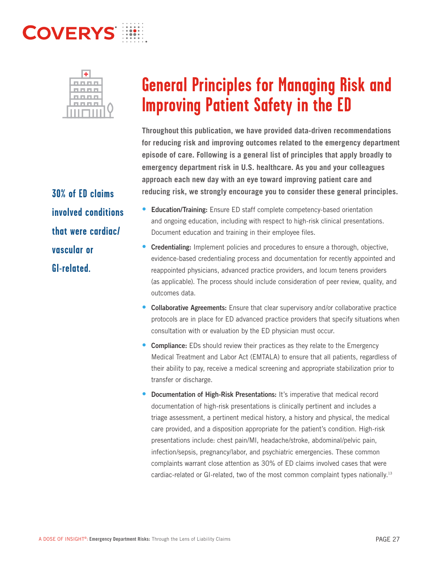

**30% of ED claims involved conditions that were cardiac/ vascular or GI-related.**

**Throughout this publication, we have provided data-driven recommendations for reducing risk and improving outcomes related to the emergency department episode of care. Following is a general list of principles that apply broadly to emergency department risk in U.S. healthcare. As you and your colleagues approach each new day with an eye toward improving patient care and reducing risk, we strongly encourage you to consider these general principles.** 

- Education/Training: Ensure ED staff complete competency-based orientation and ongoing education, including with respect to high-risk clinical presentations. Document education and training in their employee files.
- Credentialing: Implement policies and procedures to ensure a thorough, objective, evidence-based credentialing process and documentation for recently appointed and reappointed physicians, advanced practice providers, and locum tenens providers (as applicable). The process should include consideration of peer review, quality, and outcomes data.
- Collaborative Agreements: Ensure that clear supervisory and/or collaborative practice protocols are in place for ED advanced practice providers that specify situations when consultation with or evaluation by the ED physician must occur.
- Compliance: EDs should review their practices as they relate to the Emergency Medical Treatment and Labor Act (EMTALA) to ensure that all patients, regardless of their ability to pay, receive a medical screening and appropriate stabilization prior to transfer or discharge.
- Documentation of High-Risk Presentations: It's imperative that medical record documentation of high-risk presentations is clinically pertinent and includes a triage assessment, a pertinent medical history, a history and physical, the medical care provided, and a disposition appropriate for the patient's condition. High-risk presentations include: chest pain/MI, headache/stroke, abdominal/pelvic pain, infection/sepsis, pregnancy/labor, and psychiatric emergencies. These common complaints warrant close attention as 30% of ED claims involved cases that were cardiac-related or GI-related, two of the most common complaint types nationally.<sup>13</sup>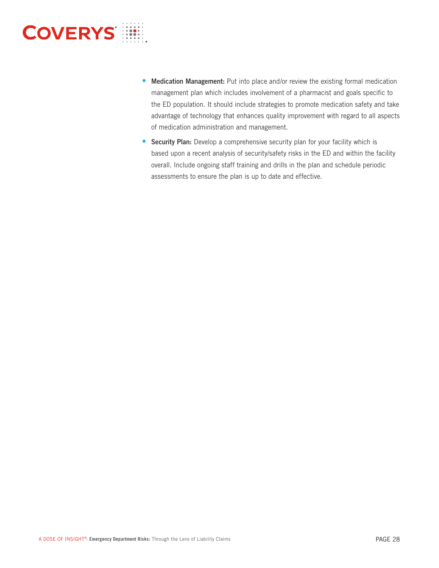- - Medication Management: Put into place and/or review the existing formal medication management plan which includes involvement of a pharmacist and goals specific to the ED population. It should include strategies to promote medication safety and take advantage of technology that enhances quality improvement with regard to all aspects of medication administration and management.
	- **Security Plan:** Develop a comprehensive security plan for your facility which is based upon a recent analysis of security/safety risks in the ED and within the facility overall. Include ongoing staff training and drills in the plan and schedule periodic assessments to ensure the plan is up to date and effective.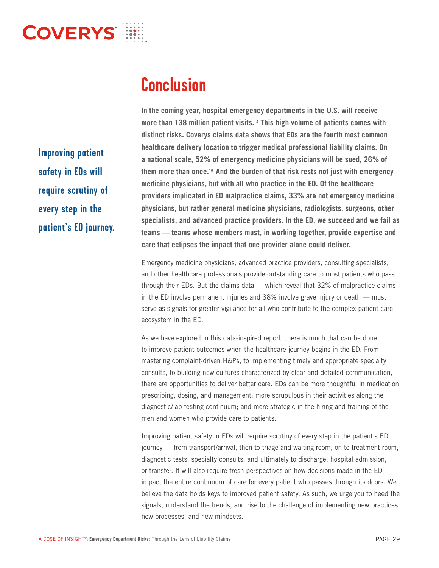**Improving patient safety in EDs will require scrutiny of every step in the patient's ED journey.** **In the coming year, hospital emergency departments in the U.S. will receive more than 138 million patient visits.**14 **This high volume of patients comes with distinct risks. Coverys claims data shows that EDs are the fourth most common healthcare delivery location to trigger medical professional liability claims. On a national scale, 52% of emergency medicine physicians will be sued, 26% of them more than once.**15 **And the burden of that risk rests not just with emergency medicine physicians, but with all who practice in the ED. Of the healthcare providers implicated in ED malpractice claims, 33% are not emergency medicine physicians, but rather general medicine physicians, radiologists, surgeons, other specialists, and advanced practice providers. In the ED, we succeed and we fail as teams — teams whose members must, in working together, provide expertise and care that eclipses the impact that one provider alone could deliver.** 

Emergency medicine physicians, advanced practice providers, consulting specialists, and other healthcare professionals provide outstanding care to most patients who pass through their EDs. But the claims data — which reveal that 32% of malpractice claims in the ED involve permanent injuries and 38% involve grave injury or death — must serve as signals for greater vigilance for all who contribute to the complex patient care ecosystem in the ED.

As we have explored in this data-inspired report, there is much that can be done to improve patient outcomes when the healthcare journey begins in the ED. From mastering complaint-driven H&Ps, to implementing timely and appropriate specialty consults, to building new cultures characterized by clear and detailed communication, there are opportunities to deliver better care. EDs can be more thoughtful in medication prescribing, dosing, and management; more scrupulous in their activities along the diagnostic/lab testing continuum; and more strategic in the hiring and training of the men and women who provide care to patients.

Improving patient safety in EDs will require scrutiny of every step in the patient's ED journey — from transport/arrival, then to triage and waiting room, on to treatment room, diagnostic tests, specialty consults, and ultimately to discharge, hospital admission, or transfer. It will also require fresh perspectives on how decisions made in the ED impact the entire continuum of care for every patient who passes through its doors. We believe the data holds keys to improved patient safety. As such, we urge you to heed the signals, understand the trends, and rise to the challenge of implementing new practices, new processes, and new mindsets.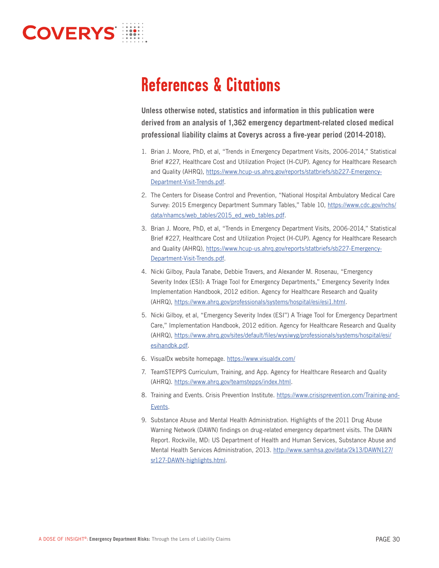**Unless otherwise noted, statistics and information in this publication were derived from an analysis of 1,362 emergency department-related closed medical professional liability claims at Coverys across a five-year period (2014-2018).**

- 1. Brian J. Moore, PhD, et al, "Trends in Emergency Department Visits, 2006-2014," Statistical Brief #227, Healthcare Cost and Utilization Project (H-CUP). Agency for Healthcare Research and Quality (AHRQ), https://www.hcup-us.ahrq.gov/reports/statbriefs/sb227-Emergency-Department-Visit-Trends.pdf.
- 2. The Centers for Disease Control and Prevention, "National Hospital Ambulatory Medical Care Survey: 2015 Emergency Department Summary Tables," Table 10, https://www.cdc.gov/nchs/ data/nhamcs/web\_tables/2015\_ed\_web\_tables.pdf.
- 3. Brian J. Moore, PhD, et al, "Trends in Emergency Department Visits, 2006-2014," Statistical Brief #227, Healthcare Cost and Utilization Project (H-CUP). Agency for Healthcare Research and Quality (AHRQ), https://www.hcup-us.ahrq.gov/reports/statbriefs/sb227-Emergency-Department-Visit-Trends.pdf.
- 4. Nicki Gilboy, Paula Tanabe, Debbie Travers, and Alexander M. Rosenau, "Emergency Severity Index (ESI): A Triage Tool for Emergency Departments," Emergency Severity Index Implementation Handbook, 2012 edition. Agency for Healthcare Research and Quality (AHRQ), https://www.ahrq.gov/professionals/systems/hospital/esi/esi1.html.
- 5. Nicki Gilboy, et al, "Emergency Severity Index (ESI") A Triage Tool for Emergency Department Care," Implementation Handbook, 2012 edition. Agency for Healthcare Research and Quality (AHRQ), https://www.ahrq.gov/sites/default/files/wysiwyg/professionals/systems/hospital/esi/ esihandbk.pdf.
- 6. VisualDx website homepage. https://www.visualdx.com/
- 7. TeamSTEPPS Curriculum, Training, and App. Agency for Healthcare Research and Quality (AHRQ). https://www.ahrq.gov/teamstepps/index.html.
- 8. Training and Events. Crisis Prevention Institute. https://www.crisisprevention.com/Training-and-Events.
- 9. Substance Abuse and Mental Health Administration. Highlights of the 2011 Drug Abuse Warning Network (DAWN) findings on drug-related emergency department visits. The DAWN Report. Rockville, MD: US Department of Health and Human Services, Substance Abuse and Mental Health Services Administration, 2013. http://www.samhsa.gov/data/2k13/DAWN127/ sr127-DAWN-highlights.html.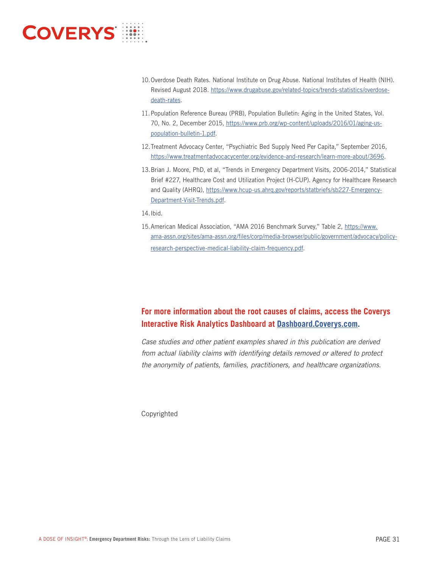

- 10. Overdose Death Rates. National Institute on Drug Abuse. National Institutes of Health (NIH). Revised August 2018. https://www.drugabuse.gov/related-topics/trends-statistics/overdosedeath-rates.
- 11. Population Reference Bureau (PRB), Population Bulletin: Aging in the United States, Vol. 70, No. 2, December 2015, https://www.prb.org/wp-content/uploads/2016/01/aging-uspopulation-bulletin-1.pdf.
- 12. Treatment Advocacy Center, "Psychiatric Bed Supply Need Per Capita," September 2016, https://www.treatmentadvocacycenter.org/evidence-and-research/learn-more-about/3696.
- 13. Brian J. Moore, PhD, et al, "Trends in Emergency Department Visits, 2006-2014," Statistical Brief #227, Healthcare Cost and Utilization Project (H-CUP). Agency for Healthcare Research and Quality (AHRQ), https://www.hcup-us.ahrq.gov/reports/statbriefs/sb227-Emergency-Department-Visit-Trends.pdf.

14. Ibid.

15. American Medical Association, "AMA 2016 Benchmark Survey," Table 2, https://www. ama-assn.org/sites/ama-assn.org/files/corp/media-browser/public/government/advocacy/policyresearch-perspective-medical-liability-claim-frequency.pdf.

## **Dashboard.Coverys.com.**

Case studies and other patient examples shared in this publication are derived from actual liability claims with identifying details removed or altered to protect the anonymity of patients, families, practitioners, and healthcare organizations.

Copyrighted